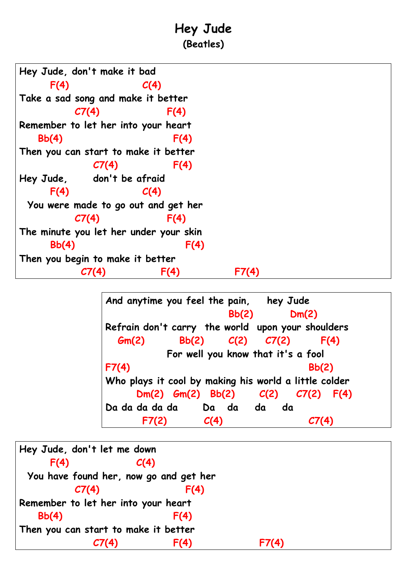## **Hey Jude (Beatles)**

| Hey Jude, don't make it bad            |                             |      |  |  |  |  |  |
|----------------------------------------|-----------------------------|------|--|--|--|--|--|
| F(4)                                   |                             | C(4) |  |  |  |  |  |
| Take a sad song and make it better     |                             |      |  |  |  |  |  |
|                                        | C7(4)                       | F(4) |  |  |  |  |  |
| Remember to let her into your heart    |                             |      |  |  |  |  |  |
| Bb(4)                                  |                             | F(4) |  |  |  |  |  |
| Then you can start to make it better   |                             |      |  |  |  |  |  |
|                                        | C7(4)                       | F(4) |  |  |  |  |  |
| Hey Jude, don't be afraid              |                             |      |  |  |  |  |  |
| F(4)                                   |                             | C(4) |  |  |  |  |  |
| You were made to go out and get her    |                             |      |  |  |  |  |  |
|                                        | $\mathcal{C}\mathcal{T}(4)$ | F(4) |  |  |  |  |  |
| The minute you let her under your skin |                             |      |  |  |  |  |  |
| Bb(4)                                  |                             | F(4) |  |  |  |  |  |
| Then you begin to make it better       |                             |      |  |  |  |  |  |
|                                        |                             | F(4) |  |  |  |  |  |

**And anytime you feel the pain, hey Jude Bb(2) Dm(2) Refrain don't carry the world upon your shoulders Gm(2) Bb(2) C(2) C7(2) F(4) For well you know that it's a fool F7(4) Bb(2) Who plays it cool by making his world a little colder Dm(2) Gm(2) Bb(2) C(2) C7(2) F(4) Da da da da da Da da da da F7(2) C(4) C7(4)**

|                                        | Hey Jude, don't let me down |      |       |  |  |  |
|----------------------------------------|-----------------------------|------|-------|--|--|--|
| F(4)                                   | C(4)                        |      |       |  |  |  |
| You have found her, now go and get her |                             |      |       |  |  |  |
|                                        | CI(4)                       | F(4) |       |  |  |  |
| Remember to let her into your heart    |                             |      |       |  |  |  |
| Bb(4)                                  |                             | F(4) |       |  |  |  |
| Then you can start to make it better   |                             |      |       |  |  |  |
|                                        |                             | F(4) | F7(4) |  |  |  |